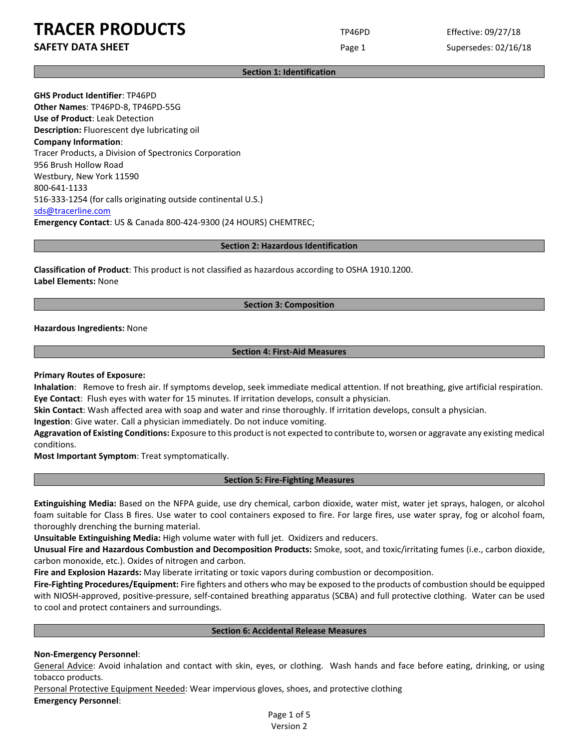**SAFETY DATA SHEET** SUPERFOUR CONSUMING THE Page 1 Supersedes: 02/16/18

#### **Section 1: Identification**

**GHS Product Identifier**: TP46PD **Other Names**: TP46PD-8, TP46PD-55G **Use of Product**: Leak Detection **Description:** Fluorescent dye lubricating oil **Company Information**: Tracer Products, a Division of Spectronics Corporation 956 Brush Hollow Road Westbury, New York 11590 800-641-1133 516-333-1254 (for calls originating outside continental U.S.) [sds@tracerline.com](mailto:sds@tracerline.com) **Emergency Contact**: US & Canada 800-424-9300 (24 HOURS) CHEMTREC;

#### **Section 2: Hazardous Identification**

**Classification of Product**: This product is not classified as hazardous according to OSHA 1910.1200. **Label Elements:** None

### **Section 3: Composition**

**Hazardous Ingredients:** None

### **Section 4: First-Aid Measures**

#### **Primary Routes of Exposure:**

**Inhalation**: Remove to fresh air. If symptoms develop, seek immediate medical attention. If not breathing, give artificial respiration. **Eye Contact**: Flush eyes with water for 15 minutes. If irritation develops, consult a physician.

**Skin Contact**: Wash affected area with soap and water and rinse thoroughly. If irritation develops, consult a physician.

**Ingestion**: Give water. Call a physician immediately. Do not induce vomiting.

**Aggravation of Existing Conditions:** Exposure to this product is not expected to contribute to, worsen or aggravate any existing medical conditions.

**Most Important Symptom**: Treat symptomatically.

## **Section 5: Fire-Fighting Measures**

**Extinguishing Media:** Based on the NFPA guide, use dry chemical, carbon dioxide, water mist, water jet sprays, halogen, or alcohol foam suitable for Class B fires. Use water to cool containers exposed to fire. For large fires, use water spray, fog or alcohol foam, thoroughly drenching the burning material.

**Unsuitable Extinguishing Media:** High volume water with full jet. Oxidizers and reducers.

**Unusual Fire and Hazardous Combustion and Decomposition Products:** Smoke, soot, and toxic/irritating fumes (i.e., carbon dioxide, carbon monoxide, etc.). Oxides of nitrogen and carbon.

**Fire and Explosion Hazards:** May liberate irritating or toxic vapors during combustion or decomposition.

**Fire-Fighting Procedures/Equipment:** Fire fighters and others who may be exposed to the products of combustion should be equipped with NIOSH-approved, positive-pressure, self-contained breathing apparatus (SCBA) and full protective clothing. Water can be used to cool and protect containers and surroundings.

#### **Section 6: Accidental Release Measures**

### **Non-Emergency Personnel**:

General Advice: Avoid inhalation and contact with skin, eyes, or clothing. Wash hands and face before eating, drinking, or using tobacco products.

Personal Protective Equipment Needed: Wear impervious gloves, shoes, and protective clothing **Emergency Personnel**:

> Page 1 of 5 Version 2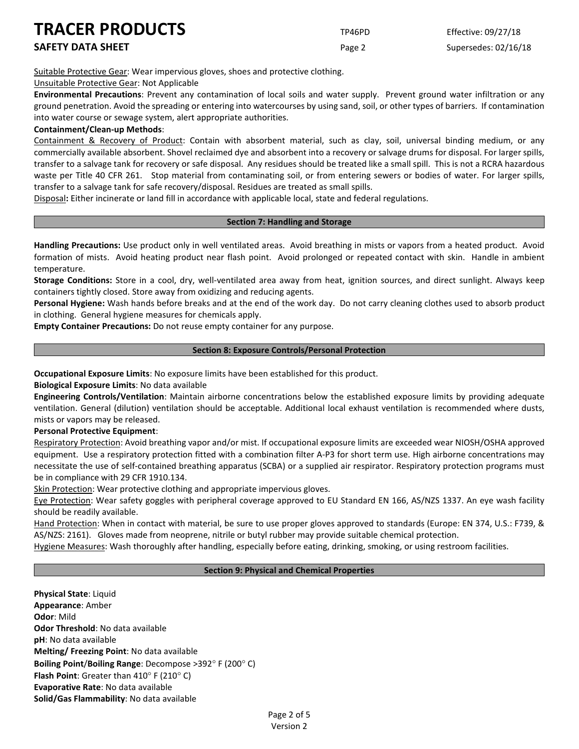## **SAFETY DATA SHEET** SUPERFOUR CONSUMING THE Page 2 Supersedes: 02/16/18

Suitable Protective Gear: Wear impervious gloves, shoes and protective clothing.

Unsuitable Protective Gear: Not Applicable

**Environmental Precautions**: Prevent any contamination of local soils and water supply. Prevent ground water infiltration or any ground penetration. Avoid the spreading or entering into watercourses by using sand, soil, or other types of barriers. If contamination into water course or sewage system, alert appropriate authorities.

## **Containment/Clean-up Methods**:

Containment & Recovery of Product: Contain with absorbent material, such as clay, soil, universal binding medium, or any commercially available absorbent. Shovel reclaimed dye and absorbent into a recovery or salvage drums for disposal. For larger spills, transfer to a salvage tank for recovery or safe disposal. Any residues should be treated like a small spill. This is not a RCRA hazardous waste per Title 40 CFR 261. Stop material from contaminating soil, or from entering sewers or bodies of water. For larger spills, transfer to a salvage tank for safe recovery/disposal. Residues are treated as small spills.

Disposal**:** Either incinerate or land fill in accordance with applicable local, state and federal regulations.

## **Section 7: Handling and Storage**

**Handling Precautions:** Use product only in well ventilated areas. Avoid breathing in mists or vapors from a heated product. Avoid formation of mists. Avoid heating product near flash point. Avoid prolonged or repeated contact with skin. Handle in ambient temperature.

**Storage Conditions:** Store in a cool, dry, well-ventilated area away from heat, ignition sources, and direct sunlight. Always keep containers tightly closed. Store away from oxidizing and reducing agents.

**Personal Hygiene:** Wash hands before breaks and at the end of the work day. Do not carry cleaning clothes used to absorb product in clothing. General hygiene measures for chemicals apply.

**Empty Container Precautions:** Do not reuse empty container for any purpose.

## **Section 8: Exposure Controls/Personal Protection**

**Occupational Exposure Limits**: No exposure limits have been established for this product.

**Biological Exposure Limits**: No data available

**Engineering Controls/Ventilation**: Maintain airborne concentrations below the established exposure limits by providing adequate ventilation. General (dilution) ventilation should be acceptable. Additional local exhaust ventilation is recommended where dusts, mists or vapors may be released.

## **Personal Protective Equipment**:

Respiratory Protection: Avoid breathing vapor and/or mist. If occupational exposure limits are exceeded wear NIOSH/OSHA approved equipment. Use a respiratory protection fitted with a combination filter A-P3 for short term use. High airborne concentrations may necessitate the use of self-contained breathing apparatus (SCBA) or a supplied air respirator. Respiratory protection programs must be in compliance with 29 CFR 1910.134.

Skin Protection: Wear protective clothing and appropriate impervious gloves.

Eye Protection: Wear safety goggles with peripheral coverage approved to EU Standard EN 166, AS/NZS 1337. An eye wash facility should be readily available.

Hand Protection: When in contact with material, be sure to use proper gloves approved to standards (Europe: EN 374, U.S.: F739, & AS/NZS: 2161). Gloves made from neoprene, nitrile or butyl rubber may provide suitable chemical protection.

Hygiene Measures: Wash thoroughly after handling, especially before eating, drinking, smoking, or using restroom facilities.

## **Section 9: Physical and Chemical Properties**

**Physical State**: Liquid **Appearance**: Amber **Odor**: Mild **Odor Threshold**: No data available **pH**: No data available **Melting/ Freezing Point**: No data available **Boiling Point**/**Boiling Range**: Decompose >392° F (200° C) **Flash Point**: Greater than 410° F (210° C) **Evaporative Rate**: No data available **Solid/Gas Flammability**: No data available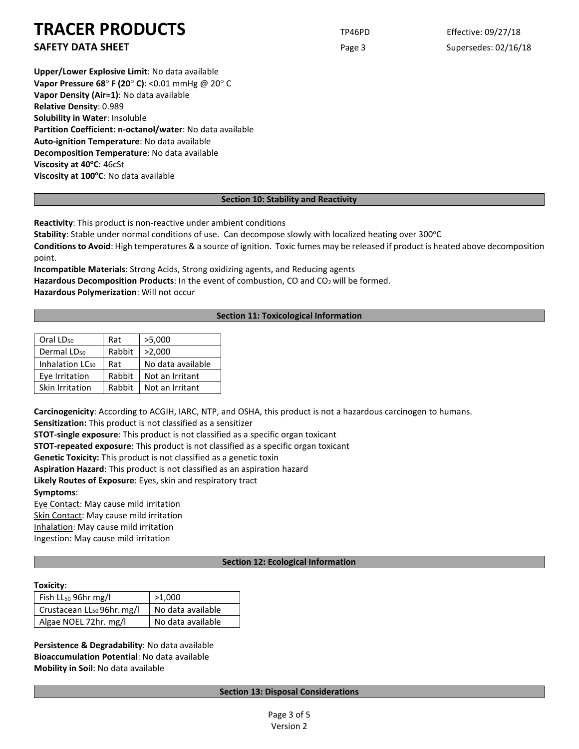**SAFETY DATA SHEET** SUPERFOUR CONSUMING THE Page 3 Supersedes: 02/16/18

**Upper/Lower Explosive Limit**: No data available **Vapor Pressure 68**° **F (20**° **C)**: <0.01 mmHg @ 20° C **Vapor Density (Air=1)**: No data available **Relative Density**: 0.989 **Solubility in Water**: Insoluble **Partition Coefficient: n-octanol/water**: No data available **Auto-ignition Temperature**: No data available **Decomposition Temperature**: No data available **Viscosity at 40°C: 46cSt Viscosity at 100°C**: No data available

## **Section 10: Stability and Reactivity**

**Reactivity**: This product is non-reactive under ambient conditions

Stability: Stable under normal conditions of use. Can decompose slowly with localized heating over 300°C

**Conditions to Avoid**: High temperatures & a source of ignition. Toxic fumes may be released if product is heated above decomposition point.

**Incompatible Materials**: Strong Acids, Strong oxidizing agents, and Reducing agents Hazardous Decomposition Products: In the event of combustion, CO and CO<sub>2</sub> will be formed. **Hazardous Polymerization**: Will not occur

## **Section 11: Toxicological Information**

| Oral LD <sub>50</sub>       | Rat    | >5,000            |
|-----------------------------|--------|-------------------|
| Dermal LD <sub>50</sub>     | Rabbit | >2,000            |
| Inhalation LC <sub>50</sub> | Rat    | No data available |
| Eye Irritation              | Rabbit | Not an Irritant   |
| Skin Irritation             | Rabbit | Not an Irritant   |

**Carcinogenicity**: According to ACGIH, IARC, NTP, and OSHA, this product is not a hazardous carcinogen to humans.

**Sensitization:** This product is not classified as a sensitizer

**STOT-single exposure**: This product is not classified as a specific organ toxicant

**STOT-repeated exposure**: This product is not classified as a specific organ toxicant

**Genetic Toxicity:** This product is not classified as a genetic toxin

**Aspiration Hazard**: This product is not classified as an aspiration hazard

**Likely Routes of Exposure**: Eyes, skin and respiratory tract

**Symptoms**:

Eye Contact: May cause mild irritation Skin Contact: May cause mild irritation Inhalation: May cause mild irritation

Ingestion: May cause mild irritation

## **Section 12: Ecological Information**

## **Toxicity**:

| Fish $LL_{50}$ 96hr mg/l               | >1,000            |  |
|----------------------------------------|-------------------|--|
| Crustacean LL <sub>50</sub> 96hr. mg/l | No data available |  |
| Algae NOEL 72hr. mg/l                  | No data available |  |

**Persistence & Degradability**: No data available **Bioaccumulation Potential**: No data available **Mobility in Soil**: No data available

## **Section 13: Disposal Considerations**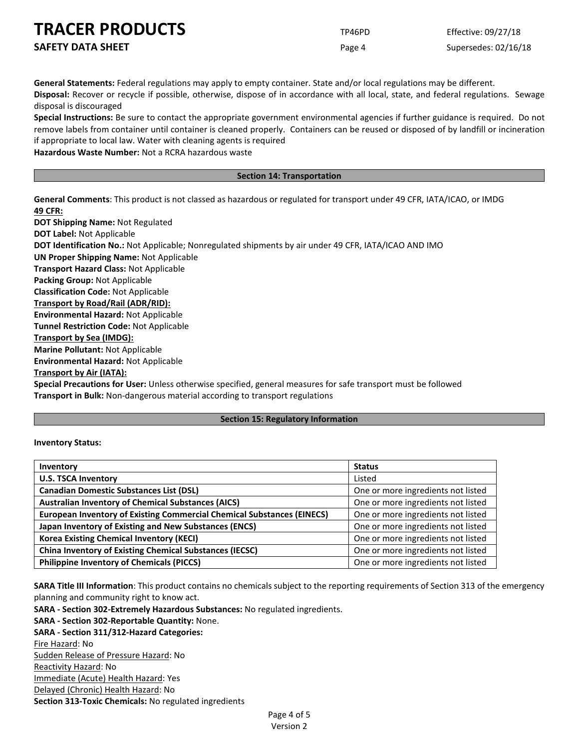**SAFETY DATA SHEET** SUPERFOUR Page 4 Supersedes: 02/16/18

**General Statements:** Federal regulations may apply to empty container. State and/or local regulations may be different. **Disposal:** Recover or recycle if possible, otherwise, dispose of in accordance with all local, state, and federal regulations. Sewage disposal is discouraged

**Special Instructions:** Be sure to contact the appropriate government environmental agencies if further guidance is required. Do not remove labels from container until container is cleaned properly. Containers can be reused or disposed of by landfill or incineration if appropriate to local law. Water with cleaning agents is required

**Hazardous Waste Number:** Not a RCRA hazardous waste

### **Section 14: Transportation**

**General Comments**: This product is not classed as hazardous or regulated for transport under 49 CFR, IATA/ICAO, or IMDG **49 CFR:**

**DOT Shipping Name:** Not Regulated **DOT Label:** Not Applicable **DOT Identification No.:** Not Applicable; Nonregulated shipments by air under 49 CFR, IATA/ICAO AND IMO **UN Proper Shipping Name:** Not Applicable **Transport Hazard Class:** Not Applicable **Packing Group:** Not Applicable **Classification Code:** Not Applicable **Transport by Road/Rail (ADR/RID): Environmental Hazard:** Not Applicable **Tunnel Restriction Code:** Not Applicable **Transport by Sea (IMDG): Marine Pollutant:** Not Applicable **Environmental Hazard:** Not Applicable **Transport by Air (IATA):**

**Special Precautions for User:** Unless otherwise specified, general measures for safe transport must be followed **Transport in Bulk:** Non-dangerous material according to transport regulations

## **Section 15: Regulatory Information**

### **Inventory Status:**

| Inventory                                                                     | <b>Status</b>                      |
|-------------------------------------------------------------------------------|------------------------------------|
| <b>U.S. TSCA Inventory</b>                                                    | Listed                             |
| <b>Canadian Domestic Substances List (DSL)</b>                                | One or more ingredients not listed |
| <b>Australian Inventory of Chemical Substances (AICS)</b>                     | One or more ingredients not listed |
| <b>European Inventory of Existing Commercial Chemical Substances (EINECS)</b> | One or more ingredients not listed |
| Japan Inventory of Existing and New Substances (ENCS)                         | One or more ingredients not listed |
| <b>Korea Existing Chemical Inventory (KECI)</b>                               | One or more ingredients not listed |
| <b>China Inventory of Existing Chemical Substances (IECSC)</b>                | One or more ingredients not listed |
| <b>Philippine Inventory of Chemicals (PICCS)</b>                              | One or more ingredients not listed |

**SARA Title III Information**: This product contains no chemicals subject to the reporting requirements of Section 313 of the emergency planning and community right to know act.

**SARA - Section 302-Extremely Hazardous Substances:** No regulated ingredients.

**SARA - Section 302-Reportable Quantity:** None.

## **SARA - Section 311/312-Hazard Categories:**

Fire Hazard: No Sudden Release of Pressure Hazard: No Reactivity Hazard: No Immediate (Acute) Health Hazard: Yes Delayed (Chronic) Health Hazard: No **Section 313-Toxic Chemicals:** No regulated ingredients